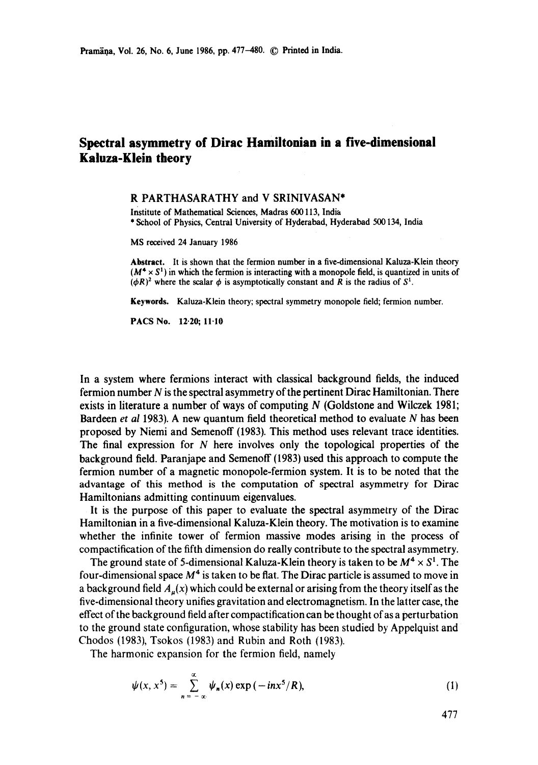## **Spectral asymmetry of Dirac Hamiltonian in a five-dimensional Kaluza-Klein theory**

## R PARTHASARATHY and V SRINIVASAN\*

Institute of Mathematical Sciences, Madras 600113, India \* School of Physics, Central University of Hyderabad, Hyderabad 500134, India

MS received 24 January 1986

**Abstract.** It is shown that the fermion number in a five-dimensional Kaluza-Klein theory  $(M^4 \times S^1)$  in which the fermion is interacting with a monopole field, is quantized in units of  $(\phi R)^2$  where the scalar  $\phi$  is asymptotically constant and R is the radius of  $S^1$ .

**Keywords.** Kaluza-Klein theory; spectral symmetry monopole field; fermion number.

PACS No. 12.20; 11.10

In a system where fermions interact with classical background fields, the induced fermion number N is the spectral asymmetry of the pertinent Dirac Hamiltonian. There exists in literature a number of ways of computing N (Goldstone and Wilezek 1981; Bardeen *et al* 1983). A new quantum field theoretical method to evaluate N has been proposed by Niemi and Semenoff (1983). This method uses relevant trace identities. The final expression for  $N$  here involves only the topological properties of the background field. Paranjape and Semenoff (1983) used this approach to compute the fermion number of a magnetic monopole-fermion system. It is to be noted that the advantage of this method is the computation of spectral asymmetry for Dirac Hamiltonians admitting continuum eigenvalues.

It is the purpose of this paper to evaluate the spectral asymmetry of the Dirac Hamiltonian in a five-dimensional Kaluza-Klein theory. The motivation is to examine whether the infinite tower of fermion massive modes arising in the process of compactification of the fifth dimension do really contribute to the spectral asymmetry.

The ground state of 5-dimensional Kaluza-Klein theory is taken to be  $M^4 \times S^1$ . The four-dimensional space  $M<sup>4</sup>$  is taken to be flat. The Dirac particle is assumed to move in a background field  $A<sub>u</sub>(x)$  which could be external or arising from the theory itself as the five-dimensional theory unifies gravitation and electromagnetism. In the latter case, the effect of the background field after compactification can be thought of as a perturbation to the ground state configuration, whose stability has been studied by Appelquist and Chodos (1983), Tsokos (1983) and Rubin and Roth (1983).

The harmonic expansion for the fermion field, namely

$$
\psi(x, x^5) = \sum_{n=-\infty}^{\infty} \psi_n(x) \exp(-in x^5/R), \tag{1}
$$

477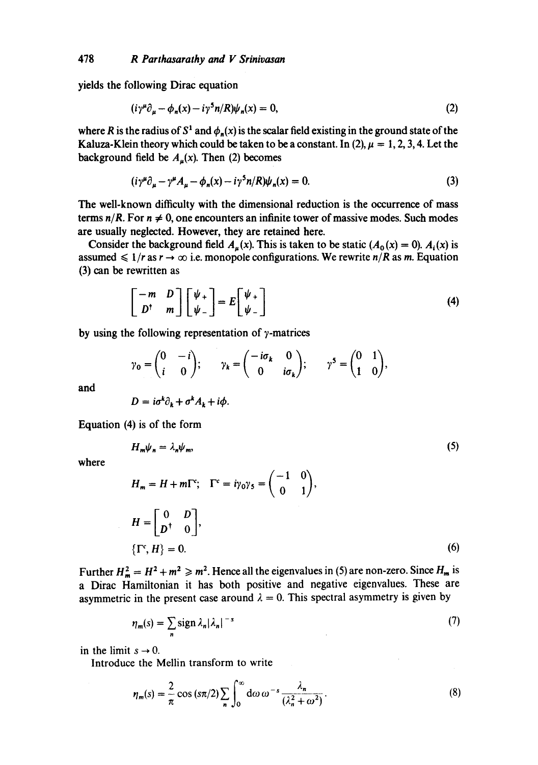yields the following Dirac equation

$$
(i\gamma^{\mu}\partial_{\mu} - \phi_{n}(x) - i\gamma^{5}n/R)\psi_{n}(x) = 0,
$$
\n(2)

where R is the radius of  $S^1$  and  $\phi_n(x)$  is the scalar field existing in the ground state of the Kaluza-Klein theory which could be taken to be a constant. In (2),  $\mu = 1, 2, 3, 4$ . Let the background field be  $A<sub>u</sub>(x)$ . Then (2) becomes

$$
(i\gamma^{\mu}\partial_{\mu} - \gamma^{\mu}A_{\mu} - \phi_{n}(x) - i\gamma^{5}n/R)\psi_{n}(x) = 0.
$$
\n(3)

The well-known difficulty with the dimensional reduction is the occurrence of mass terms  $n/R$ . For  $n \neq 0$ , one encounters an infinite tower of massive modes. Such modes are usually neglected. However, they are retained here.

Consider the background field  $A<sub>u</sub>(x)$ . This is taken to be static  $(A<sub>0</sub>(x) = 0)$ .  $A<sub>i</sub>(x)$  is assumed  $\leq 1/r$  as  $r \to \infty$  i.e. monopole configurations. We rewrite  $n/R$  as m. Equation (3) can be rewritten as

$$
\begin{bmatrix} -m & D \\ D^{\dagger} & m \end{bmatrix} \begin{bmatrix} \psi_+ \\ \psi_- \end{bmatrix} = E \begin{bmatrix} \psi_+ \\ \psi_- \end{bmatrix}
$$
 (4)

by using the following representation of  $\gamma$ -matrices

$$
\gamma_0 = \begin{pmatrix} 0 & -i \\ i & 0 \end{pmatrix}; \quad \gamma_k = \begin{pmatrix} -i\sigma_k & 0 \\ 0 & i\sigma_k \end{pmatrix}; \quad \gamma^5 = \begin{pmatrix} 0 & 1 \\ 1 & 0 \end{pmatrix},
$$

and

$$
D = i\sigma^k \partial_k + \sigma^k A_k + i\phi.
$$

Equation (4) is of the form

$$
H_m \psi_n = \lambda_n \psi_m,\tag{5}
$$

where

$$
H_m = H + m\Gamma^c; \quad \Gamma^c = i\gamma_0\gamma_5 = \begin{pmatrix} -1 & 0 \\ 0 & 1 \end{pmatrix},
$$
  
\n
$$
H = \begin{bmatrix} 0 & D \\ D^{\dagger} & 0 \end{bmatrix},
$$
  
\n
$$
\{\Gamma^c, H\} = 0.
$$
 (6)

Further  $H_m^2 = H^2 + m^2 \ge m^2$ . Hence all the eigenvalues in (5) are non-zero. Since  $H_m$  is a Dirac Hamiltonian it has both positive and negative eigenvalues. These are asymmetric in the present case around  $\lambda = 0$ . This spectral asymmetry is given by

$$
\eta_m(s) = \sum_{n} sign \lambda_n |\lambda_n|^{-s} \tag{7}
$$

in the limit  $s \rightarrow 0$ .

Introduce the Mellin transform to write

$$
\eta_m(s) = \frac{2}{\pi} \cos (s\pi/2) \sum_{n} \int_0^{\infty} d\omega \, \omega^{-s} \frac{\lambda_n}{(\lambda_n^2 + \omega^2)}.
$$
 (8)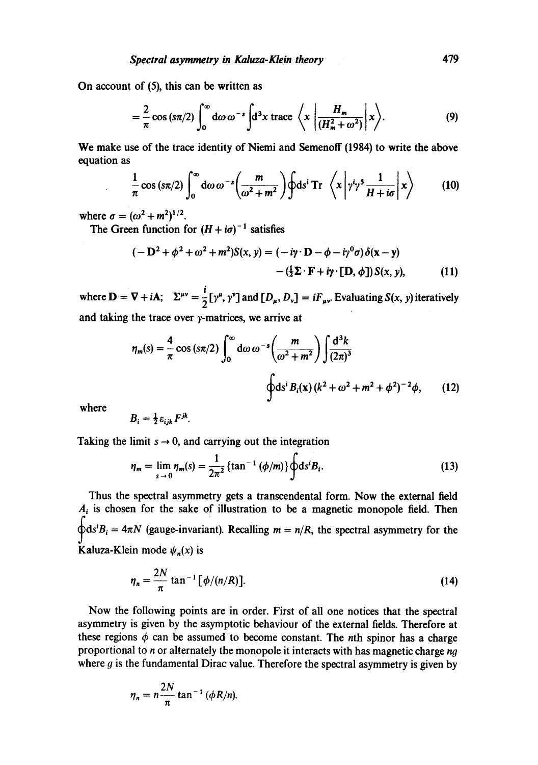On account of (5), this can be written as

$$
= \frac{2}{\pi} \cos (s\pi/2) \int_0^\infty d\omega \, \omega^{-s} \int d^3x \, \text{trace} \, \left\langle x \left| \frac{H_m}{\left(H_m^2 + \omega^2\right)} \right| x \right\rangle. \tag{9}
$$

We make use of the trace identity of Niemi and Semenoff (1984) to write the above equation as

$$
\frac{1}{\pi}\cos\left(\frac{\sin\left(2\right)}{\sin\left(\frac{\pi}{2}\right)}\right)\left(\frac{m}{\omega^2+m^2}\right)\oint ds^i \text{Tr}\left\langle x\left|\gamma^i\gamma^5\frac{1}{H+i\sigma}\right|x\right\rangle\tag{10}
$$

where  $\sigma = (\omega^2 + m^2)^{1/2}$ .

The Green function for  $(H + i\sigma)^{-1}$  satisfies

$$
(-\mathbf{D}^2 + \phi^2 + \omega^2 + m^2)S(x, y) = (-i\mathbf{y} \cdot \mathbf{D} - \phi - i\mathbf{y}^0\sigma)\delta(\mathbf{x} - \mathbf{y})
$$

$$
-(\frac{1}{2}\mathbf{\Sigma}\cdot\mathbf{F} + i\mathbf{y}\cdot[\mathbf{D}, \phi])S(x, y), \qquad (11)
$$

where  $\mathbf{D} = \nabla + i\mathbf{A}$ ;  $\Sigma^{\mu\nu} = \frac{i}{2} [\gamma^{\mu}, \gamma^{\nu}]$  and  $[D_{\mu}, D_{\nu}] = iF_{\mu\nu}$ . Evaluating  $S(x, y)$  iteratively and taking the trace over  $\gamma$ -matrices, we arrive at

$$
\eta_m(s) = \frac{4}{\pi} \cos{(s\pi/2)} \int_0^\infty d\omega \, \omega^{-s} \left(\frac{m}{\omega^2 + m^2}\right) \int \frac{d^3k}{(2\pi)^3}
$$
\n
$$
\oint ds^i B_i(x) \, (k^2 + \omega^2 + m^2 + \phi^2)^{-2} \phi, \qquad (12)
$$

where

$$
B_i=\tfrac{1}{2}\varepsilon_{ijk}F^{jk}.
$$

Taking the limit  $s \rightarrow 0$ , and carrying out the integration

$$
\eta_m = \lim_{s \to 0} \eta_m(s) = \frac{1}{2\pi^2} \{ \tan^{-1} (\phi/m) \} \oint ds^i B_i.
$$
 (13)

Thus the spectral asymmetry gets a transcendental form. Now the external field  $A_i$  is chosen for the sake of illustration to be a magnetic monopole field. Then  $\diamondsuit ds^iB_i = 4\pi N$  (gauge-invariant). Recalling  $m = n/R$ , the spectral asymmetry for the Kaluza-Klein mode  $\psi_n(x)$  is

$$
\eta_n = \frac{2N}{\pi} \tan^{-1} [\phi/(n/R)].
$$
 (14)

Now the following points are in order. First of all one notices that the spectral asymmetry is given by the asymptotic behaviour of the external fields. Therefore at these regions  $\phi$  can be assumed to become constant. The nth spinor has a charge proportional to  $n$  or alternately the monopole it interacts with has magnetic charge  $ng$ where  $g$  is the fundamental Dirac value. Therefore the spectral asymmetry is given by

$$
\eta_n = n \frac{2N}{\pi} \tan^{-1} (\phi R/n).
$$